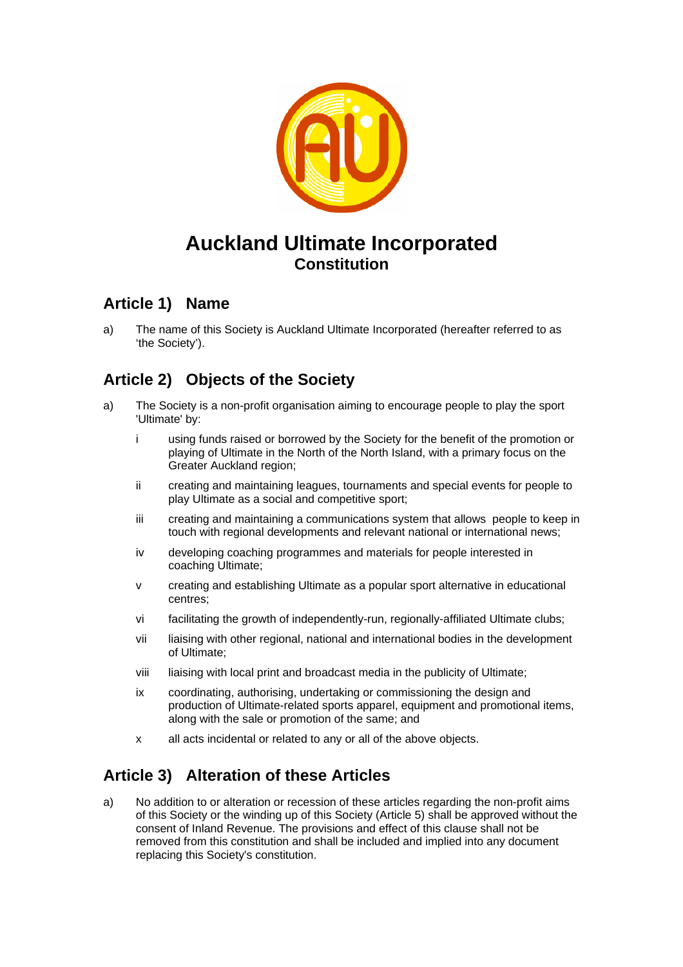

# **Auckland Ultimate Incorporated Constitution**

### **Article 1) Name**

a) The name of this Society is Auckland Ultimate Incorporated (hereafter referred to as 'the Society').

# **Article 2) Objects of the Society**

- a) The Society is a non-profit organisation aiming to encourage people to play the sport 'Ultimate' by:
	- i using funds raised or borrowed by the Society for the benefit of the promotion or playing of Ultimate in the North of the North Island, with a primary focus on the Greater Auckland region;
	- ii creating and maintaining leagues, tournaments and special events for people to play Ultimate as a social and competitive sport;
	- iii creating and maintaining a communications system that allows people to keep in touch with regional developments and relevant national or international news;
	- iv developing coaching programmes and materials for people interested in coaching Ultimate;
	- v creating and establishing Ultimate as a popular sport alternative in educational centres;
	- vi facilitating the growth of independently-run, regionally-affiliated Ultimate clubs;
	- vii liaising with other regional, national and international bodies in the development of Ultimate;
	- viii liaising with local print and broadcast media in the publicity of Ultimate;
	- ix coordinating, authorising, undertaking or commissioning the design and production of Ultimate-related sports apparel, equipment and promotional items, along with the sale or promotion of the same; and
	- x all acts incidental or related to any or all of the above objects.

# **Article 3) Alteration of these Articles**

a) No addition to or alteration or recession of these articles regarding the non-profit aims of this Society or the winding up of this Society (Article 5) shall be approved without the consent of Inland Revenue. The provisions and effect of this clause shall not be removed from this constitution and shall be included and implied into any document replacing this Society's constitution.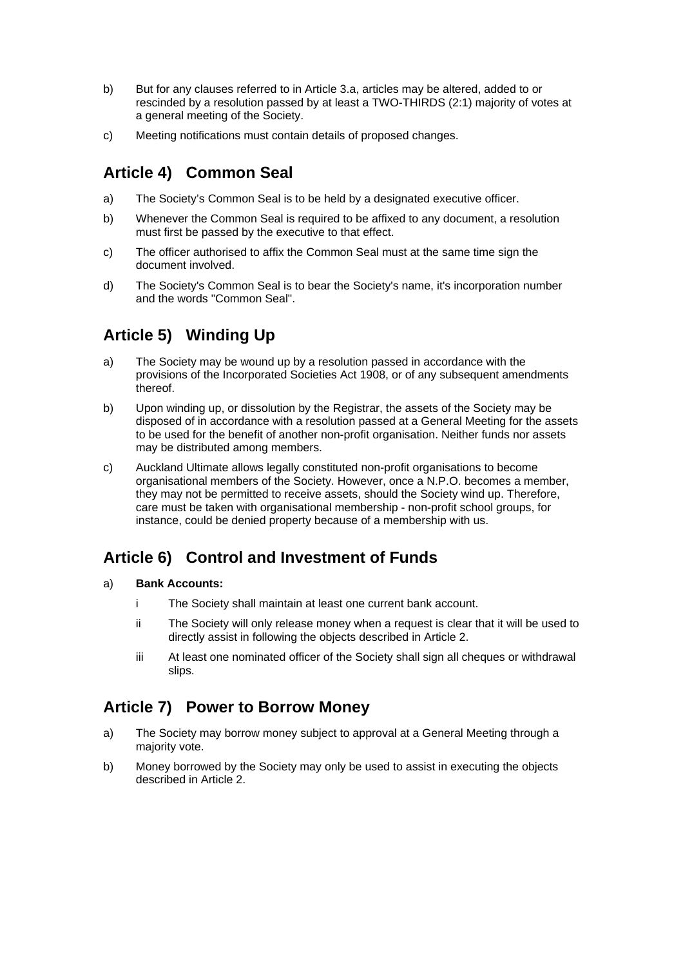- b) But for any clauses referred to in Article 3.a, articles may be altered, added to or rescinded by a resolution passed by at least a TWO-THIRDS (2:1) majority of votes at a general meeting of the Society.
- c) Meeting notifications must contain details of proposed changes.

### **Article 4) Common Seal**

- a) The Society's Common Seal is to be held by a designated executive officer.
- b) Whenever the Common Seal is required to be affixed to any document, a resolution must first be passed by the executive to that effect.
- c) The officer authorised to affix the Common Seal must at the same time sign the document involved.
- d) The Society's Common Seal is to bear the Society's name, it's incorporation number and the words "Common Seal".

### **Article 5) Winding Up**

- a) The Society may be wound up by a resolution passed in accordance with the provisions of the Incorporated Societies Act 1908, or of any subsequent amendments thereof.
- b) Upon winding up, or dissolution by the Registrar, the assets of the Society may be disposed of in accordance with a resolution passed at a General Meeting for the assets to be used for the benefit of another non-profit organisation. Neither funds nor assets may be distributed among members.
- c) Auckland Ultimate allows legally constituted non-profit organisations to become organisational members of the Society. However, once a N.P.O. becomes a member, they may not be permitted to receive assets, should the Society wind up. Therefore, care must be taken with organisational membership - non-profit school groups, for instance, could be denied property because of a membership with us.

### **Article 6) Control and Investment of Funds**

- a) **Bank Accounts:**
	- i The Society shall maintain at least one current bank account.
	- ii The Society will only release money when a request is clear that it will be used to directly assist in following the objects described in Article 2.
	- iii At least one nominated officer of the Society shall sign all cheques or withdrawal slips.

### **Article 7) Power to Borrow Money**

- a) The Society may borrow money subject to approval at a General Meeting through a majority vote.
- b) Money borrowed by the Society may only be used to assist in executing the objects described in Article 2.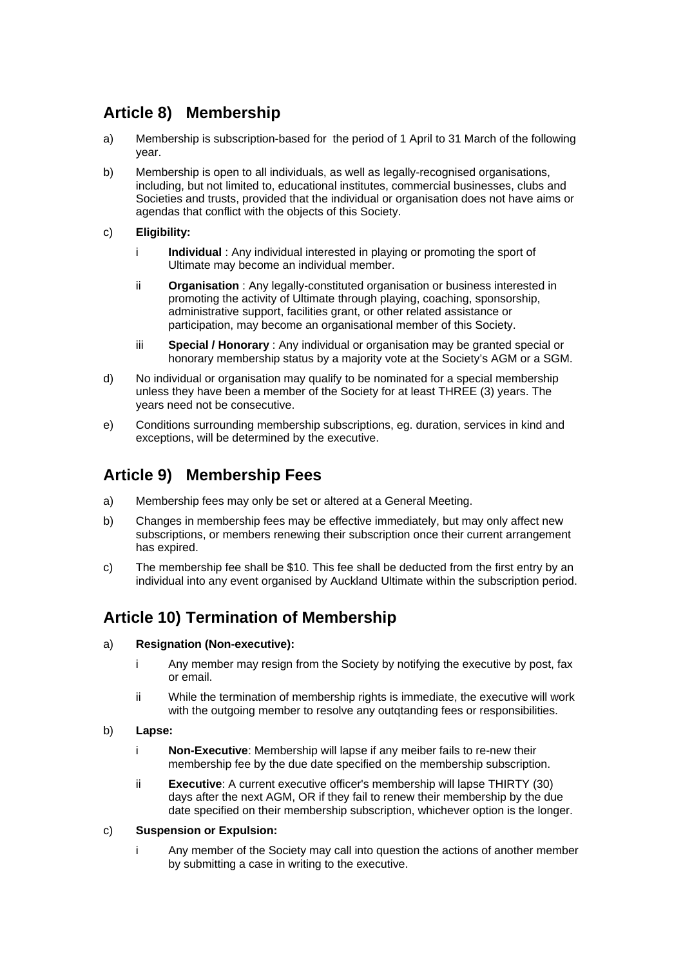# **Article 8) Membership**

- a) Membership is subscription-based for the period of 1 April to 31 March of the following year.
- b) Membership is open to all individuals, as well as legally-recognised organisations, including, but not limited to, educational institutes, commercial businesses, clubs and Societies and trusts, provided that the individual or organisation does not have aims or agendas that conflict with the objects of this Society.
- c) **Eligibility:**
	- i **Individual** : Any individual interested in playing or promoting the sport of Ultimate may become an individual member.
	- ii **Organisation** : Any legally-constituted organisation or business interested in promoting the activity of Ultimate through playing, coaching, sponsorship, administrative support, facilities grant, or other related assistance or participation, may become an organisational member of this Society.
	- iii **Special / Honorary** : Any individual or organisation may be granted special or honorary membership status by a majority vote at the Society's AGM or a SGM.
- d) No individual or organisation may qualify to be nominated for a special membership unless they have been a member of the Society for at least THREE (3) years. The years need not be consecutive.
- e) Conditions surrounding membership subscriptions, eg. duration, services in kind and exceptions, will be determined by the executive.

### **Article 9) Membership Fees**

- a) Membership fees may only be set or altered at a General Meeting.
- b) Changes in membership fees may be effective immediately, but may only affect new subscriptions, or members renewing their subscription once their current arrangement has expired.
- c) The membership fee shall be \$10. This fee shall be deducted from the first entry by an individual into any event organised by Auckland Ultimate within the subscription period.

### **Article 10) Termination of Membership**

- a) **Resignation (Non-executive):**
	- i Any member may resign from the Society by notifying the executive by post, fax or email.
	- ii While the termination of membership rights is immediate, the executive will work with the outgoing member to resolve any outgtanding fees or responsibilities.
- b) **Lapse:**
	- i **Non-Executive**: Membership will lapse if any meiber fails to re-new their membership fee by the due date specified on the membership subscription.
	- ii **Executive**: A current executive officer's membership will lapse THIRTY (30) days after the next AGM, OR if they fail to renew their membership by the due date specified on their membership subscription, whichever option is the longer.

#### c) **Suspension or Expulsion:**

i Any member of the Society may call into question the actions of another member by submitting a case in writing to the executive.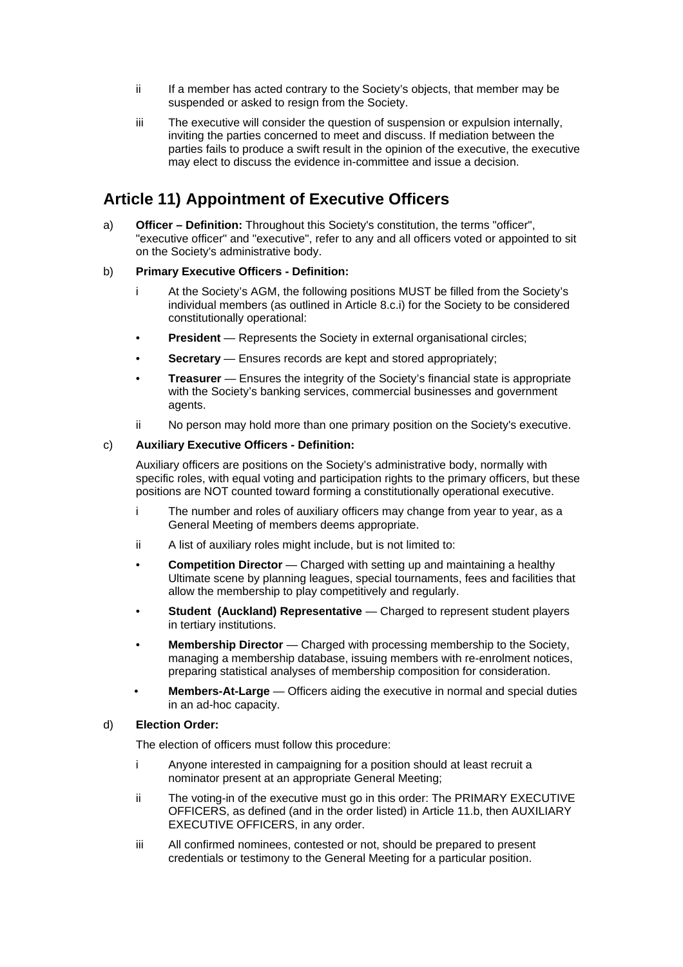- ii If a member has acted contrary to the Society's objects, that member may be suspended or asked to resign from the Society.
- iii The executive will consider the question of suspension or expulsion internally, inviting the parties concerned to meet and discuss. If mediation between the parties fails to produce a swift result in the opinion of the executive, the executive may elect to discuss the evidence in-committee and issue a decision.

### **Article 11) Appointment of Executive Officers**

a) **Officer – Definition:** Throughout this Society's constitution, the terms "officer", "executive officer" and "executive", refer to any and all officers voted or appointed to sit on the Society's administrative body.

#### b) **Primary Executive Officers - Definition:**

- i At the Society's AGM, the following positions MUST be filled from the Society's individual members (as outlined in Article 8.c.i) for the Society to be considered constitutionally operational:
- **President** Represents the Society in external organisational circles:
- **Secretary** Ensures records are kept and stored appropriately;
- **Treasurer** Ensures the integrity of the Society's financial state is appropriate with the Society's banking services, commercial businesses and government agents.
- ii No person may hold more than one primary position on the Society's executive.

#### c) **Auxiliary Executive Officers - Definition:**

 Auxiliary officers are positions on the Society's administrative body, normally with specific roles, with equal voting and participation rights to the primary officers, but these positions are NOT counted toward forming a constitutionally operational executive.

- i The number and roles of auxiliary officers may change from year to year, as a General Meeting of members deems appropriate.
- ii A list of auxiliary roles might include, but is not limited to:
- **Competition Director** Charged with setting up and maintaining a healthy Ultimate scene by planning leagues, special tournaments, fees and facilities that allow the membership to play competitively and regularly.
- **Student (Auckland) Representative** Charged to represent student players in tertiary institutions.
- **Membership Director** Charged with processing membership to the Society, managing a membership database, issuing members with re-enrolment notices, preparing statistical analyses of membership composition for consideration.
- • **Members-At-Large** Officers aiding the executive in normal and special duties in an ad-hoc capacity.

#### d) **Election Order:**

The election of officers must follow this procedure:

- i Anyone interested in campaigning for a position should at least recruit a nominator present at an appropriate General Meeting;
- ii The voting-in of the executive must go in this order: The PRIMARY EXECUTIVE OFFICERS, as defined (and in the order listed) in Article 11.b, then AUXILIARY EXECUTIVE OFFICERS, in any order.
- iii All confirmed nominees, contested or not, should be prepared to present credentials or testimony to the General Meeting for a particular position.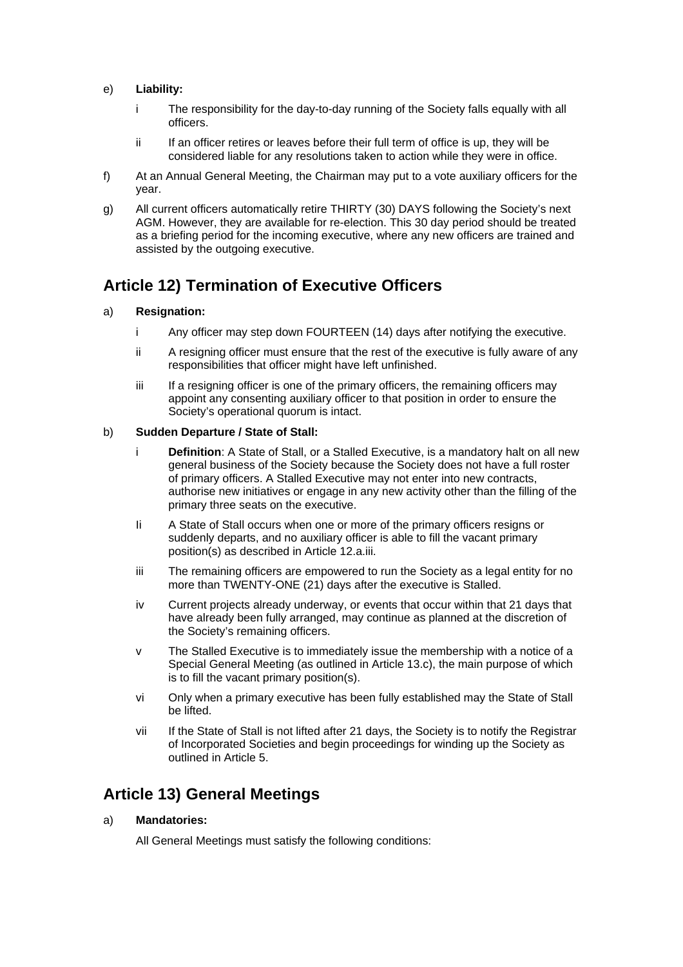#### e) **Liability:**

- i The responsibility for the day-to-day running of the Society falls equally with all officers.
- ii If an officer retires or leaves before their full term of office is up, they will be considered liable for any resolutions taken to action while they were in office.
- f) At an Annual General Meeting, the Chairman may put to a vote auxiliary officers for the year.
- g) All current officers automatically retire THIRTY (30) DAYS following the Society's next AGM. However, they are available for re-election. This 30 day period should be treated as a briefing period for the incoming executive, where any new officers are trained and assisted by the outgoing executive.

### **Article 12) Termination of Executive Officers**

#### a) **Resignation:**

- i Any officer may step down FOURTEEN (14) days after notifying the executive.
- ii A resigning officer must ensure that the rest of the executive is fully aware of any responsibilities that officer might have left unfinished.
- iii If a resigning officer is one of the primary officers, the remaining officers may appoint any consenting auxiliary officer to that position in order to ensure the Society's operational quorum is intact.

#### b) **Sudden Departure / State of Stall:**

- i **Definition**: A State of Stall, or a Stalled Executive, is a mandatory halt on all new general business of the Society because the Society does not have a full roster of primary officers. A Stalled Executive may not enter into new contracts, authorise new initiatives or engage in any new activity other than the filling of the primary three seats on the executive.
- Ii A State of Stall occurs when one or more of the primary officers resigns or suddenly departs, and no auxiliary officer is able to fill the vacant primary position(s) as described in Article 12.a.iii.
- iii The remaining officers are empowered to run the Society as a legal entity for no more than TWENTY-ONE (21) days after the executive is Stalled.
- iv Current projects already underway, or events that occur within that 21 days that have already been fully arranged, may continue as planned at the discretion of the Society's remaining officers.
- v The Stalled Executive is to immediately issue the membership with a notice of a Special General Meeting (as outlined in Article 13.c), the main purpose of which is to fill the vacant primary position(s).
- vi Only when a primary executive has been fully established may the State of Stall be lifted.
- vii If the State of Stall is not lifted after 21 days, the Society is to notify the Registrar of Incorporated Societies and begin proceedings for winding up the Society as outlined in Article 5.

### **Article 13) General Meetings**

#### a) **Mandatories:**

All General Meetings must satisfy the following conditions: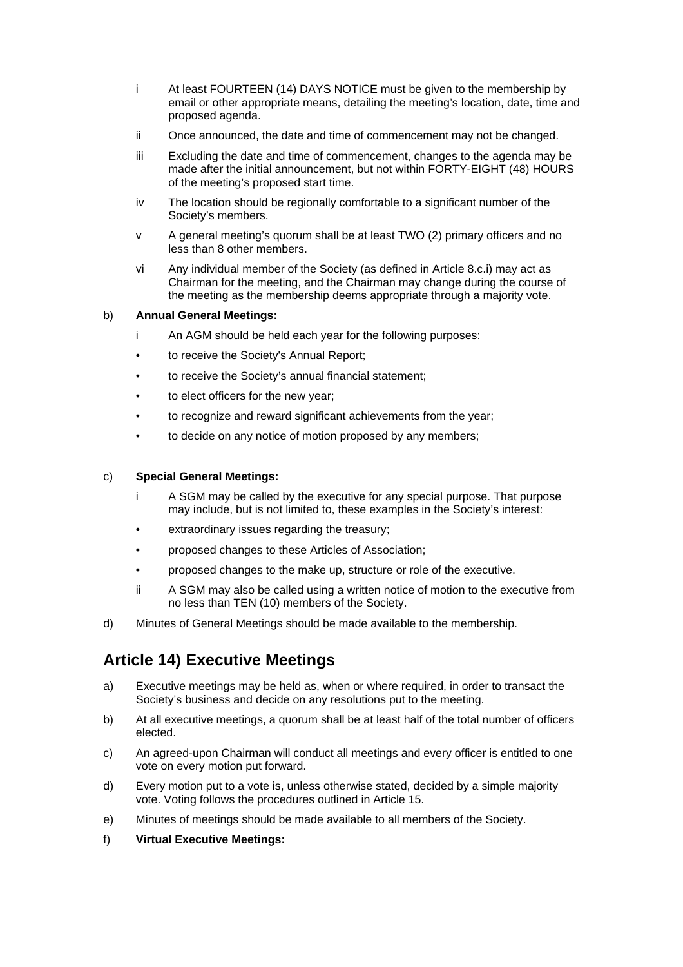- i At least FOURTEEN (14) DAYS NOTICE must be given to the membership by email or other appropriate means, detailing the meeting's location, date, time and proposed agenda.
- ii Once announced, the date and time of commencement may not be changed.
- iii Excluding the date and time of commencement, changes to the agenda may be made after the initial announcement, but not within FORTY-EIGHT (48) HOURS of the meeting's proposed start time.
- iv The location should be regionally comfortable to a significant number of the Society's members.
- v A general meeting's quorum shall be at least TWO (2) primary officers and no less than 8 other members.
- vi Any individual member of the Society (as defined in Article 8.c.i) may act as Chairman for the meeting, and the Chairman may change during the course of the meeting as the membership deems appropriate through a majority vote.

#### b) **Annual General Meetings:**

- i An AGM should be held each year for the following purposes:
- to receive the Society's Annual Report;
- to receive the Society's annual financial statement;
- to elect officers for the new year;
- to recognize and reward significant achievements from the year;
- to decide on any notice of motion proposed by any members;

#### c) **Special General Meetings:**

- i A SGM may be called by the executive for any special purpose. That purpose may include, but is not limited to, these examples in the Society's interest:
- extraordinary issues regarding the treasury;
- proposed changes to these Articles of Association;
- proposed changes to the make up, structure or role of the executive.
- ii A SGM may also be called using a written notice of motion to the executive from no less than TEN (10) members of the Society.
- d) Minutes of General Meetings should be made available to the membership.

### **Article 14) Executive Meetings**

- a) Executive meetings may be held as, when or where required, in order to transact the Society's business and decide on any resolutions put to the meeting.
- b) At all executive meetings, a quorum shall be at least half of the total number of officers elected.
- c) An agreed-upon Chairman will conduct all meetings and every officer is entitled to one vote on every motion put forward.
- d) Every motion put to a vote is, unless otherwise stated, decided by a simple majority vote. Voting follows the procedures outlined in Article 15.
- e) Minutes of meetings should be made available to all members of the Society.
- f) **Virtual Executive Meetings:**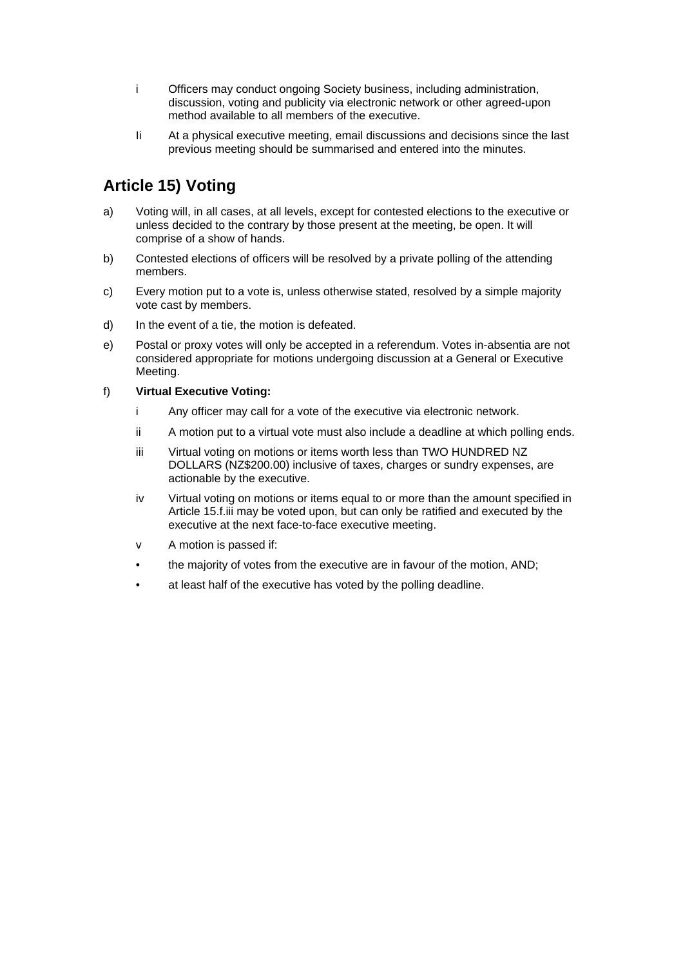- i Officers may conduct ongoing Society business, including administration, discussion, voting and publicity via electronic network or other agreed-upon method available to all members of the executive.
- Ii At a physical executive meeting, email discussions and decisions since the last previous meeting should be summarised and entered into the minutes.

# **Article 15) Voting**

- a) Voting will, in all cases, at all levels, except for contested elections to the executive or unless decided to the contrary by those present at the meeting, be open. It will comprise of a show of hands.
- b) Contested elections of officers will be resolved by a private polling of the attending members.
- c) Every motion put to a vote is, unless otherwise stated, resolved by a simple majority vote cast by members.
- d) In the event of a tie, the motion is defeated.
- e) Postal or proxy votes will only be accepted in a referendum. Votes in-absentia are not considered appropriate for motions undergoing discussion at a General or Executive Meeting.

#### f) **Virtual Executive Voting:**

- i Any officer may call for a vote of the executive via electronic network.
- ii A motion put to a virtual vote must also include a deadline at which polling ends.
- iii Virtual voting on motions or items worth less than TWO HUNDRED NZ DOLLARS (NZ\$200.00) inclusive of taxes, charges or sundry expenses, are actionable by the executive.
- iv Virtual voting on motions or items equal to or more than the amount specified in Article 15.f.iii may be voted upon, but can only be ratified and executed by the executive at the next face-to-face executive meeting.
- v A motion is passed if:
- the majority of votes from the executive are in favour of the motion, AND;
- at least half of the executive has voted by the polling deadline.